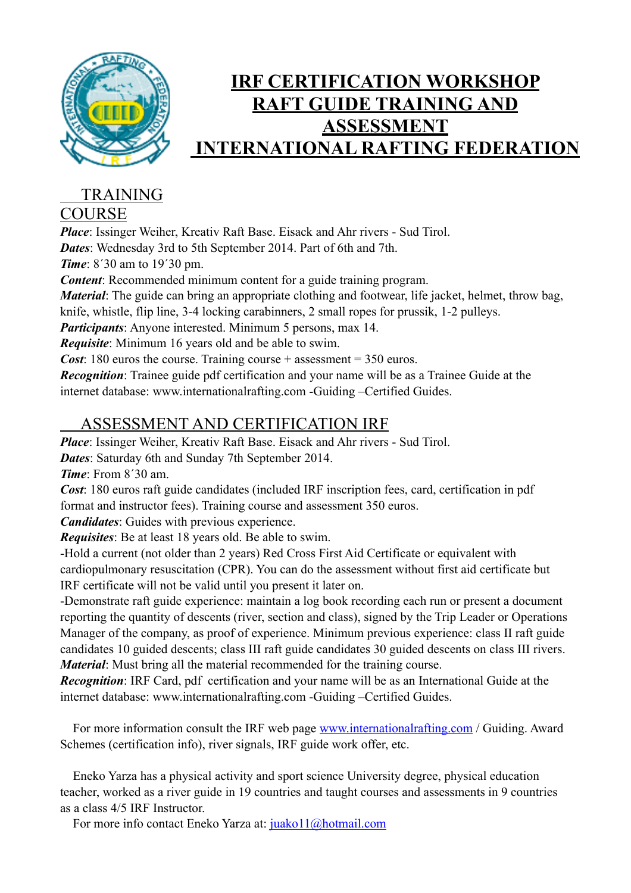

## **IRF CERTIFICATION WORKSHOP RAFT GUIDE TRAINING AND ASSESSMENT INTERNATIONAL RAFTING FEDERATION**

## TRAINING

## **COURSE**

*Place*: Issinger Weiher, Kreativ Raft Base. Eisack and Ahr rivers - Sud Tirol. *Dates*: Wednesday 3rd to 5th September 2014. Part of 6th and 7th. *Time*: 8´30 am to 19´30 pm.

*Content*: Recommended minimum content for a guide training program.

*Material*: The guide can bring an appropriate clothing and footwear, life jacket, helmet, throw bag, knife, whistle, flip line, 3-4 locking carabinners, 2 small ropes for prussik, 1-2 pulleys.

*Participants*: Anyone interested. Minimum 5 persons, max 14.

*Requisite*: Minimum 16 years old and be able to swim.

*Cost*: 180 euros the course. Training course + assessment = 350 euros.

*Recognition*: Trainee guide pdf certification and your name will be as a Trainee Guide at the internet database: www.internationalrafting.com -Guiding –Certified Guides.

## ASSESSMENT AND CERTIFICATION IRF

*Place*: Issinger Weiher, Kreativ Raft Base. Eisack and Ahr rivers - Sud Tirol.

*Dates*: Saturday 6th and Sunday 7th September 2014.

*Time*: From 8´30 am.

*Cost*: 180 euros raft guide candidates (included IRF inscription fees, card, certification in pdf format and instructor fees). Training course and assessment 350 euros.

*Candidates*: Guides with previous experience.

*Requisites*: Be at least 18 years old. Be able to swim.

-Hold a current (not older than 2 years) Red Cross First Aid Certificate or equivalent with cardiopulmonary resuscitation (CPR). You can do the assessment without first aid certificate but IRF certificate will not be valid until you present it later on.

-Demonstrate raft guide experience: maintain a log book recording each run or present a document reporting the quantity of descents (river, section and class), signed by the Trip Leader or Operations Manager of the company, as proof of experience. Minimum previous experience: class II raft guide candidates 10 guided descents; class III raft guide candidates 30 guided descents on class III rivers. *Material*: Must bring all the material recommended for the training course.

*Recognition*: IRF Card, pdf certification and your name will be as an International Guide at the internet database: www.internationalrafting.com -Guiding –Certified Guides.

 For more information consult the IRF web page [www.internationalrafting.com](http://www.internationalrafting.com/) / Guiding. Award Schemes (certification info), river signals, IRF guide work offer, etc.

 Eneko Yarza has a physical activity and sport science University degree, physical education teacher, worked as a river guide in 19 countries and taught courses and assessments in 9 countries as a class 4/5 IRF Instructor.

For more info contact Eneko Yarza at: [juako11@hotmail.com](mailto:juako11@hotmail.com)